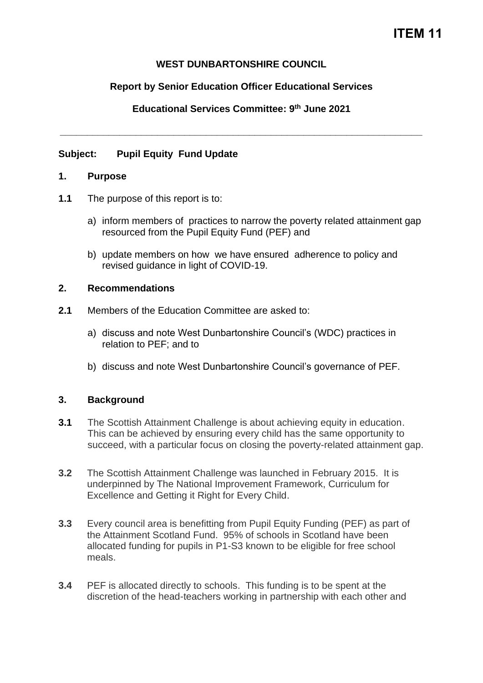## **WEST DUNBARTONSHIRE COUNCIL**

## **Report by Senior Education Officer Educational Services**

**Educational Services Committee: 9 th June 2021**

**\_\_\_\_\_\_\_\_\_\_\_\_\_\_\_\_\_\_\_\_\_\_\_\_\_\_\_\_\_\_\_\_\_\_\_\_\_\_\_\_\_\_\_\_\_\_\_\_\_\_\_\_\_\_\_\_\_\_\_\_\_\_\_\_\_\_\_**

### **Subject: Pupil Equity Fund Update**

#### **1. Purpose**

- **1.1** The purpose of this report is to:
	- a) inform members of practices to narrow the poverty related attainment gap resourced from the Pupil Equity Fund (PEF) and
	- b) update members on how we have ensured adherence to policy and revised guidance in light of COVID-19.

### **2. Recommendations**

- **2.1** Members of the Education Committee are asked to:
	- a) discuss and note West Dunbartonshire Council's (WDC) practices in relation to PEF; and to
	- b) discuss and note West Dunbartonshire Council's governance of PEF.

### **3. Background**

- **3.1** The Scottish Attainment Challenge is about achieving equity in education. This can be achieved by ensuring every child has the same opportunity to succeed, with a particular focus on closing the poverty-related attainment gap.
- **3.2** The Scottish Attainment Challenge was launched in February 2015. It is underpinned by The National Improvement Framework, Curriculum for Excellence and Getting it Right for Every Child.
- **3.3** Every council area is benefitting from Pupil Equity Funding (PEF) as part of the Attainment Scotland Fund. 95% of schools in Scotland have been allocated funding for pupils in P1-S3 known to be eligible for free school meals.
- **3.4** PEF is allocated directly to schools. This funding is to be spent at the discretion of the head-teachers working in partnership with each other and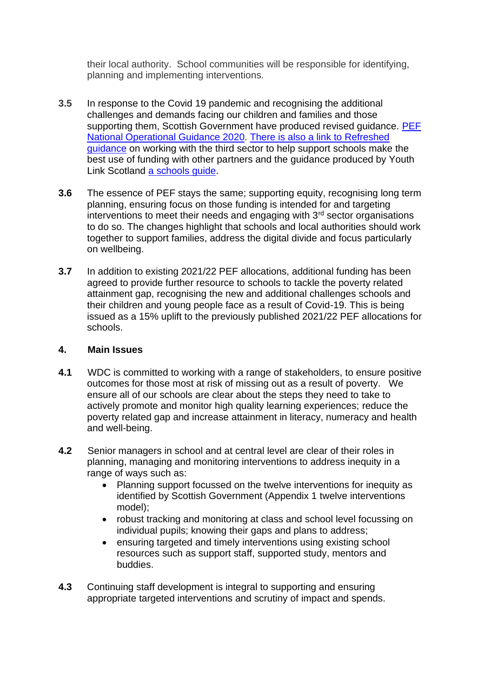their local authority. School communities will be responsible for identifying, planning and implementing interventions.

- **3.5** In response to the Covid 19 pandemic and recognising the additional challenges and demands facing our children and families and those supporting them, Scottish Government have produced revised guidance. PEF [National Operational Guidance 2020.](file:///C:/Users/u443837/Downloads/PEF+National+Operational+Guidance+2020+-+Final%20(1).pdf) There is also a link to [Refreshed](https://education.gov.scot/improvement/Documents/sac79-sac-and-third-sector-partnerships.pdf)  [guidance](https://education.gov.scot/improvement/Documents/sac79-sac-and-third-sector-partnerships.pdf) on working with the third sector to help support schools make the best use of funding with other partners and the guidance produced by Youth Link Scotland [a schools guide.](https://www.youthlinkscotland.org/media/3914/youth-work-a-guide-for-schools.pdf)
- **3.6** The essence of PEF stays the same; supporting equity, recognising long term planning, ensuring focus on those funding is intended for and targeting interventions to meet their needs and engaging with  $3<sup>rd</sup>$  sector organisations to do so. The changes highlight that schools and local authorities should work together to support families, address the digital divide and focus particularly on wellbeing.
- **3.7** In addition to existing 2021/22 PEF allocations, additional funding has been agreed to provide further resource to schools to tackle the poverty related attainment gap, recognising the new and additional challenges schools and their children and young people face as a result of Covid-19. This is being issued as a 15% uplift to the previously published 2021/22 PEF allocations for schools.

### **4. Main Issues**

- **4.1** WDC is committed to working with a range of stakeholders, to ensure positive outcomes for those most at risk of missing out as a result of poverty. We ensure all of our schools are clear about the steps they need to take to actively promote and monitor high quality learning experiences; reduce the poverty related gap and increase attainment in literacy, numeracy and health and well-being.
- **4.2** Senior managers in school and at central level are clear of their roles in planning, managing and monitoring interventions to address inequity in a range of ways such as:
	- Planning support focussed on the twelve interventions for inequity as identified by Scottish Government (Appendix 1 twelve interventions model);
	- robust tracking and monitoring at class and school level focussing on individual pupils; knowing their gaps and plans to address;
	- ensuring targeted and timely interventions using existing school resources such as support staff, supported study, mentors and buddies.
- **4.3** Continuing staff development is integral to supporting and ensuring appropriate targeted interventions and scrutiny of impact and spends.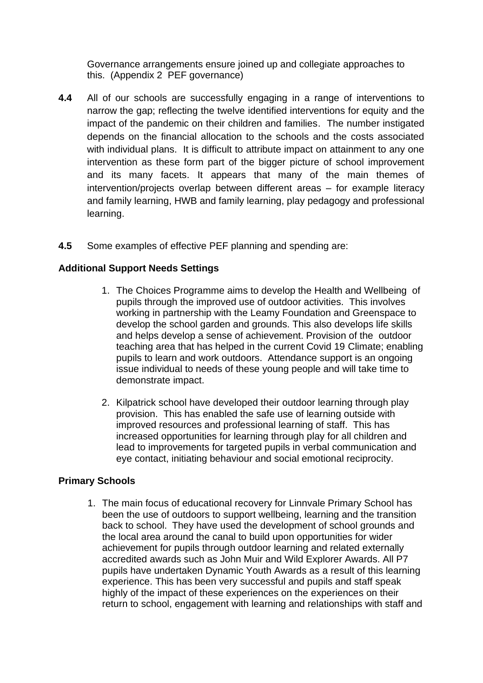Governance arrangements ensure joined up and collegiate approaches to this. (Appendix 2 PEF governance)

- **4.4** All of our schools are successfully engaging in a range of interventions to narrow the gap; reflecting the twelve identified interventions for equity and the impact of the pandemic on their children and families. The number instigated depends on the financial allocation to the schools and the costs associated with individual plans. It is difficult to attribute impact on attainment to any one intervention as these form part of the bigger picture of school improvement and its many facets. It appears that many of the main themes of intervention/projects overlap between different areas – for example literacy and family learning, HWB and family learning, play pedagogy and professional learning.
- **4.5** Some examples of effective PEF planning and spending are:

# **Additional Support Needs Settings**

- 1. The Choices Programme aims to develop the Health and Wellbeing of pupils through the improved use of outdoor activities. This involves working in partnership with the Leamy Foundation and Greenspace to develop the school garden and grounds. This also develops life skills and helps develop a sense of achievement. Provision of the outdoor teaching area that has helped in the current Covid 19 Climate; enabling pupils to learn and work outdoors. Attendance support is an ongoing issue individual to needs of these young people and will take time to demonstrate impact.
- 2. Kilpatrick school have developed their outdoor learning through play provision. This has enabled the safe use of learning outside with improved resources and professional learning of staff. This has increased opportunities for learning through play for all children and lead to improvements for targeted pupils in verbal communication and eye contact, initiating behaviour and social emotional reciprocity.

# **Primary Schools**

1. The main focus of educational recovery for Linnvale Primary School has been the use of outdoors to support wellbeing, learning and the transition back to school. They have used the development of school grounds and the local area around the canal to build upon opportunities for wider achievement for pupils through outdoor learning and related externally accredited awards such as John Muir and Wild Explorer Awards. All P7 pupils have undertaken Dynamic Youth Awards as a result of this learning experience. This has been very successful and pupils and staff speak highly of the impact of these experiences on the experiences on their return to school, engagement with learning and relationships with staff and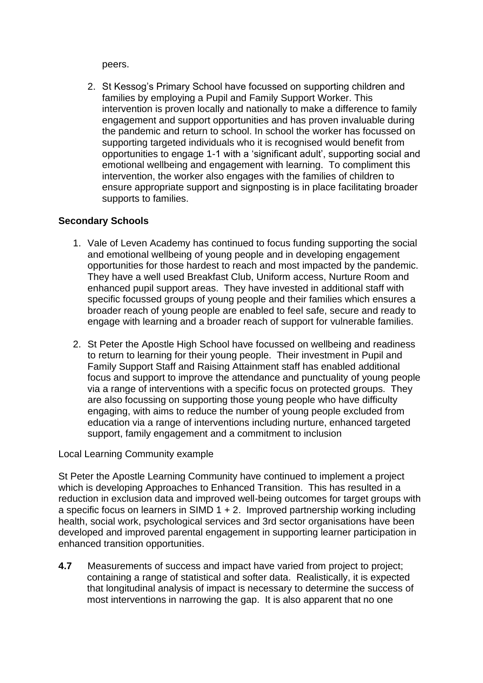peers.

2. St Kessog's Primary School have focussed on supporting children and families by employing a Pupil and Family Support Worker. This intervention is proven locally and nationally to make a difference to family engagement and support opportunities and has proven invaluable during the pandemic and return to school. In school the worker has focussed on supporting targeted individuals who it is recognised would benefit from opportunities to engage 1-1 with a 'significant adult', supporting social and emotional wellbeing and engagement with learning. To compliment this intervention, the worker also engages with the families of children to ensure appropriate support and signposting is in place facilitating broader supports to families.

## **Secondary Schools**

- 1. Vale of Leven Academy has continued to focus funding supporting the social and emotional wellbeing of young people and in developing engagement opportunities for those hardest to reach and most impacted by the pandemic. They have a well used Breakfast Club, Uniform access, Nurture Room and enhanced pupil support areas. They have invested in additional staff with specific focussed groups of young people and their families which ensures a broader reach of young people are enabled to feel safe, secure and ready to engage with learning and a broader reach of support for vulnerable families.
- 2. St Peter the Apostle High School have focussed on wellbeing and readiness to return to learning for their young people. Their investment in Pupil and Family Support Staff and Raising Attainment staff has enabled additional focus and support to improve the attendance and punctuality of young people via a range of interventions with a specific focus on protected groups. They are also focussing on supporting those young people who have difficulty engaging, with aims to reduce the number of young people excluded from education via a range of interventions including nurture, enhanced targeted support, family engagement and a commitment to inclusion

Local Learning Community example

St Peter the Apostle Learning Community have continued to implement a project which is developing Approaches to Enhanced Transition. This has resulted in a reduction in exclusion data and improved well-being outcomes for target groups with a specific focus on learners in SIMD  $1 + 2$ . Improved partnership working including health, social work, psychological services and 3rd sector organisations have been developed and improved parental engagement in supporting learner participation in enhanced transition opportunities.

**4.7** Measurements of success and impact have varied from project to project; containing a range of statistical and softer data. Realistically, it is expected that longitudinal analysis of impact is necessary to determine the success of most interventions in narrowing the gap. It is also apparent that no one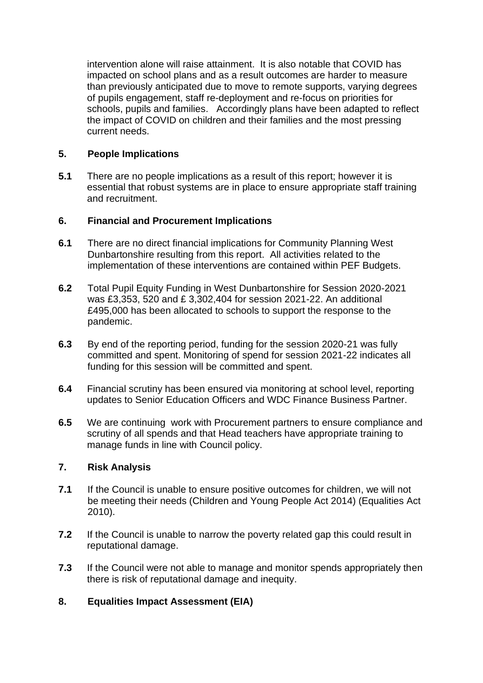intervention alone will raise attainment. It is also notable that COVID has impacted on school plans and as a result outcomes are harder to measure than previously anticipated due to move to remote supports, varying degrees of pupils engagement, staff re-deployment and re-focus on priorities for schools, pupils and families. Accordingly plans have been adapted to reflect the impact of COVID on children and their families and the most pressing current needs.

### **5. People Implications**

**5.1** There are no people implications as a result of this report; however it is essential that robust systems are in place to ensure appropriate staff training and recruitment.

## **6. Financial and Procurement Implications**

- **6.1** There are no direct financial implications for Community Planning West Dunbartonshire resulting from this report. All activities related to the implementation of these interventions are contained within PEF Budgets.
- **6.2** Total Pupil Equity Funding in West Dunbartonshire for Session 2020-2021 was £3,353, 520 and £ 3,302,404 for session 2021-22. An additional £495,000 has been allocated to schools to support the response to the pandemic.
- **6.3** By end of the reporting period, funding for the session 2020-21 was fully committed and spent. Monitoring of spend for session 2021-22 indicates all funding for this session will be committed and spent.
- **6.4** Financial scrutiny has been ensured via monitoring at school level, reporting updates to Senior Education Officers and WDC Finance Business Partner.
- **6.5** We are continuing work with Procurement partners to ensure compliance and scrutiny of all spends and that Head teachers have appropriate training to manage funds in line with Council policy.

### **7. Risk Analysis**

- **7.1** If the Council is unable to ensure positive outcomes for children, we will not be meeting their needs (Children and Young People Act 2014) (Equalities Act 2010).
- **7.2** If the Council is unable to narrow the poverty related gap this could result in reputational damage.
- **7.3** If the Council were not able to manage and monitor spends appropriately then there is risk of reputational damage and inequity.

# **8. Equalities Impact Assessment (EIA)**